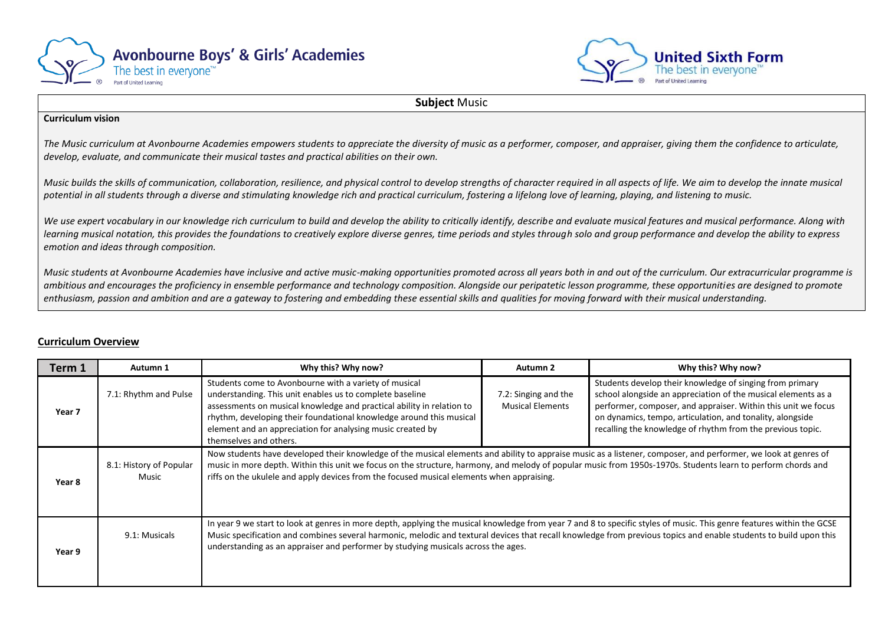



**Subject** Music

## **Curriculum vision**

*The Music curriculum at Avonbourne Academies empowers students to appreciate the diversity of music as a performer, composer, and appraiser, giving them the confidence to articulate, develop, evaluate, and communicate their musical tastes and practical abilities on their own.* 

*Music builds the skills of communication, collaboration, resilience, and physical control to develop strengths of character required in all aspects of life. We aim to develop the innate musical potential in all students through a diverse and stimulating knowledge rich and practical curriculum, fostering a lifelong love of learning, playing, and listening to music.*

We use expert vocabulary in our knowledge rich curriculum to build and develop the ability to critically identify, describe and evaluate musical features and musical performance. Along with *learning musical notation, this provides the foundations to creatively explore diverse genres, time periods and styles through solo and group performance and develop the ability to express emotion and ideas through composition.*

*Music students at Avonbourne Academies have inclusive and active music-making opportunities promoted across all years both in and out of the curriculum. Our extracurricular programme is ambitious and encourages the proficiency in ensemble performance and technology composition. Alongside our peripatetic lesson programme, these opportunities are designed to promote*  enthusiasm, passion and ambition and are a gateway to fostering and embedding these essential skills and qualities for moving forward with their musical understanding.

## **Curriculum Overview**

| Term 1 | Autumn 1                         | Why this? Why now?                                                                                                                                                                                                                                                                                                                                                                                                              | Autumn 2                                        | Why this? Why now?                                                                                                                                                                                                                                                                                                    |
|--------|----------------------------------|---------------------------------------------------------------------------------------------------------------------------------------------------------------------------------------------------------------------------------------------------------------------------------------------------------------------------------------------------------------------------------------------------------------------------------|-------------------------------------------------|-----------------------------------------------------------------------------------------------------------------------------------------------------------------------------------------------------------------------------------------------------------------------------------------------------------------------|
| Year 7 | 7.1: Rhythm and Pulse            | Students come to Avonbourne with a variety of musical<br>understanding. This unit enables us to complete baseline<br>assessments on musical knowledge and practical ability in relation to<br>rhythm, developing their foundational knowledge around this musical<br>element and an appreciation for analysing music created by<br>themselves and others.                                                                       | 7.2: Singing and the<br><b>Musical Elements</b> | Students develop their knowledge of singing from primary<br>school alongside an appreciation of the musical elements as a<br>performer, composer, and appraiser. Within this unit we focus<br>on dynamics, tempo, articulation, and tonality, alongside<br>recalling the knowledge of rhythm from the previous topic. |
| Year 8 | 8.1: History of Popular<br>Music | Now students have developed their knowledge of the musical elements and ability to appraise music as a listener, composer, and performer, we look at genres of<br>music in more depth. Within this unit we focus on the structure, harmony, and melody of popular music from 1950s-1970s. Students learn to perform chords and<br>riffs on the ukulele and apply devices from the focused musical elements when appraising.     |                                                 |                                                                                                                                                                                                                                                                                                                       |
| Year 9 | 9.1: Musicals                    | In year 9 we start to look at genres in more depth, applying the musical knowledge from year 7 and 8 to specific styles of music. This genre features within the GCSE<br>Music specification and combines several harmonic, melodic and textural devices that recall knowledge from previous topics and enable students to build upon this<br>understanding as an appraiser and performer by studying musicals across the ages. |                                                 |                                                                                                                                                                                                                                                                                                                       |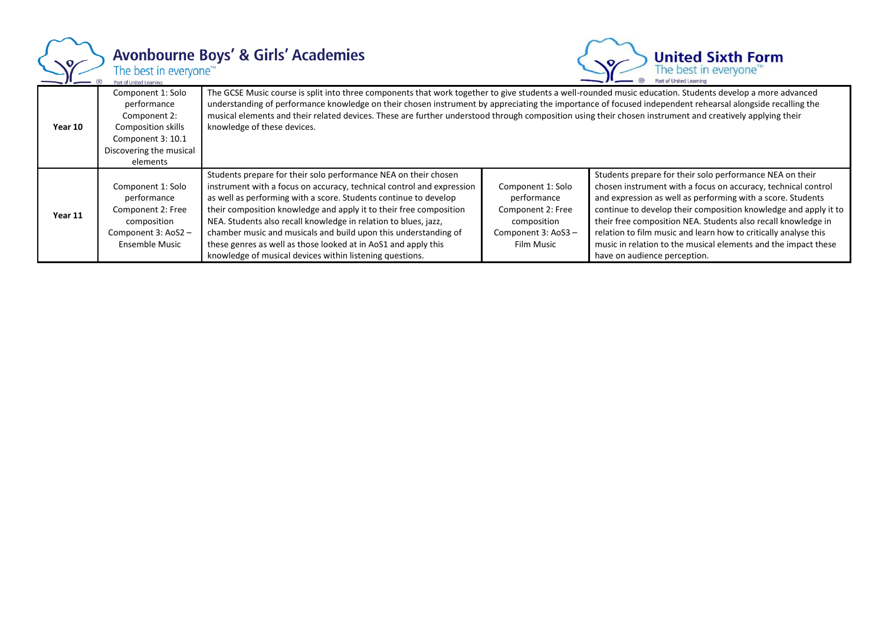

## Avonbourne Boys' & Girls' Academies<br>The best in everyone<sup>r\*</sup>



| Year 10 | Component 1: Solo<br>performance<br>Component 2:<br>Composition skills<br>Component 3: 10.1<br>Discovering the musical<br>elements | The GCSE Music course is split into three components that work together to give students a well-rounded music education. Students develop a more advanced<br>understanding of performance knowledge on their chosen instrument by appreciating the importance of focused independent rehearsal alongside recalling the<br>musical elements and their related devices. These are further understood through composition using their chosen instrument and creatively applying their<br>knowledge of these devices.                                      |                                                                                                          |                                                                                                                                                                                                                                                                                                                                                                                                                                                                                                   |
|---------|------------------------------------------------------------------------------------------------------------------------------------|--------------------------------------------------------------------------------------------------------------------------------------------------------------------------------------------------------------------------------------------------------------------------------------------------------------------------------------------------------------------------------------------------------------------------------------------------------------------------------------------------------------------------------------------------------|----------------------------------------------------------------------------------------------------------|---------------------------------------------------------------------------------------------------------------------------------------------------------------------------------------------------------------------------------------------------------------------------------------------------------------------------------------------------------------------------------------------------------------------------------------------------------------------------------------------------|
| Year 11 | Component 1: Solo<br>performance<br>Component 2: Free<br>composition<br>Component 3: AoS2 -<br>Ensemble Music                      | Students prepare for their solo performance NEA on their chosen<br>instrument with a focus on accuracy, technical control and expression<br>as well as performing with a score. Students continue to develop<br>their composition knowledge and apply it to their free composition<br>NEA. Students also recall knowledge in relation to blues, jazz,<br>chamber music and musicals and build upon this understanding of<br>these genres as well as those looked at in AoS1 and apply this<br>knowledge of musical devices within listening questions. | Component 1: Solo<br>performance<br>Component 2: Free<br>composition<br>Component 3: AoS3-<br>Film Music | Students prepare for their solo performance NEA on their<br>chosen instrument with a focus on accuracy, technical control<br>and expression as well as performing with a score. Students<br>continue to develop their composition knowledge and apply it to<br>their free composition NEA. Students also recall knowledge in<br>relation to film music and learn how to critically analyse this<br>music in relation to the musical elements and the impact these<br>have on audience perception. |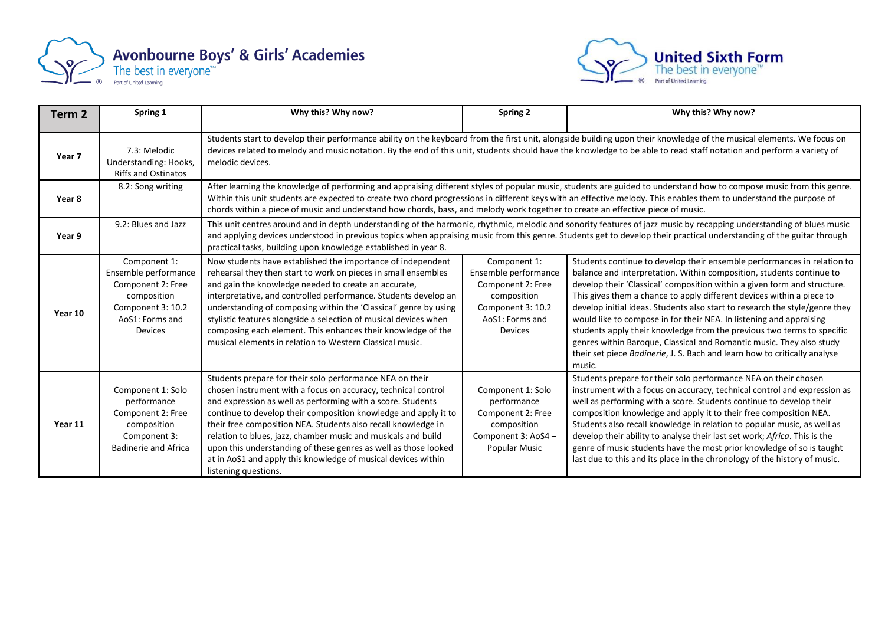



| Term 2  | Spring 1                                                                                                                           | Why this? Why now?                                                                                                                                                                                                                                                                                                                                                                                                                                                                                                                                        | Spring 2                                                                                                                           | Why this? Why now?                                                                                                                                                                                                                                                                                                                                                                                                                                                                                                                                                                                                                                                                                  |  |
|---------|------------------------------------------------------------------------------------------------------------------------------------|-----------------------------------------------------------------------------------------------------------------------------------------------------------------------------------------------------------------------------------------------------------------------------------------------------------------------------------------------------------------------------------------------------------------------------------------------------------------------------------------------------------------------------------------------------------|------------------------------------------------------------------------------------------------------------------------------------|-----------------------------------------------------------------------------------------------------------------------------------------------------------------------------------------------------------------------------------------------------------------------------------------------------------------------------------------------------------------------------------------------------------------------------------------------------------------------------------------------------------------------------------------------------------------------------------------------------------------------------------------------------------------------------------------------------|--|
| Year 7  | 7.3: Melodic<br>Understanding: Hooks,<br><b>Riffs and Ostinatos</b>                                                                | Students start to develop their performance ability on the keyboard from the first unit, alongside building upon their knowledge of the musical elements. We focus on<br>devices related to melody and music notation. By the end of this unit, students should have the knowledge to be able to read staff notation and perform a variety of<br>melodic devices.                                                                                                                                                                                         |                                                                                                                                    |                                                                                                                                                                                                                                                                                                                                                                                                                                                                                                                                                                                                                                                                                                     |  |
| Year 8  | 8.2: Song writing                                                                                                                  | After learning the knowledge of performing and appraising different styles of popular music, students are guided to understand how to compose music from this genre.<br>Within this unit students are expected to create two chord progressions in different keys with an effective melody. This enables them to understand the purpose of<br>chords within a piece of music and understand how chords, bass, and melody work together to create an effective piece of music.                                                                             |                                                                                                                                    |                                                                                                                                                                                                                                                                                                                                                                                                                                                                                                                                                                                                                                                                                                     |  |
| Year 9  | 9.2: Blues and Jazz                                                                                                                | This unit centres around and in depth understanding of the harmonic, rhythmic, melodic and sonority features of jazz music by recapping understanding of blues music<br>and applying devices understood in previous topics when appraising music from this genre. Students get to develop their practical understanding of the guitar through<br>practical tasks, building upon knowledge established in year 8.                                                                                                                                          |                                                                                                                                    |                                                                                                                                                                                                                                                                                                                                                                                                                                                                                                                                                                                                                                                                                                     |  |
| Year 10 | Component 1:<br>Ensemble performance<br>Component 2: Free<br>composition<br>Component 3: 10.2<br>AoS1: Forms and<br><b>Devices</b> | Now students have established the importance of independent<br>rehearsal they then start to work on pieces in small ensembles<br>and gain the knowledge needed to create an accurate,<br>interpretative, and controlled performance. Students develop an<br>understanding of composing within the 'Classical' genre by using<br>stylistic features alongside a selection of musical devices when<br>composing each element. This enhances their knowledge of the<br>musical elements in relation to Western Classical music.                              | Component 1:<br>Ensemble performance<br>Component 2: Free<br>composition<br>Component 3: 10.2<br>AoS1: Forms and<br><b>Devices</b> | Students continue to develop their ensemble performances in relation to<br>balance and interpretation. Within composition, students continue to<br>develop their 'Classical' composition within a given form and structure.<br>This gives them a chance to apply different devices within a piece to<br>develop initial ideas. Students also start to research the style/genre they<br>would like to compose in for their NEA. In listening and appraising<br>students apply their knowledge from the previous two terms to specific<br>genres within Baroque, Classical and Romantic music. They also study<br>their set piece Badinerie, J. S. Bach and learn how to critically analyse<br>music. |  |
| Year 11 | Component 1: Solo<br>performance<br>Component 2: Free<br>composition<br>Component 3:<br><b>Badinerie and Africa</b>                | Students prepare for their solo performance NEA on their<br>chosen instrument with a focus on accuracy, technical control<br>and expression as well as performing with a score. Students<br>continue to develop their composition knowledge and apply it to<br>their free composition NEA. Students also recall knowledge in<br>relation to blues, jazz, chamber music and musicals and build<br>upon this understanding of these genres as well as those looked<br>at in AoS1 and apply this knowledge of musical devices within<br>listening questions. | Component 1: Solo<br>performance<br>Component 2: Free<br>composition<br>Component 3: AoS4 -<br><b>Popular Music</b>                | Students prepare for their solo performance NEA on their chosen<br>instrument with a focus on accuracy, technical control and expression as<br>well as performing with a score. Students continue to develop their<br>composition knowledge and apply it to their free composition NEA.<br>Students also recall knowledge in relation to popular music, as well as<br>develop their ability to analyse their last set work; Africa. This is the<br>genre of music students have the most prior knowledge of so is taught<br>last due to this and its place in the chronology of the history of music.                                                                                               |  |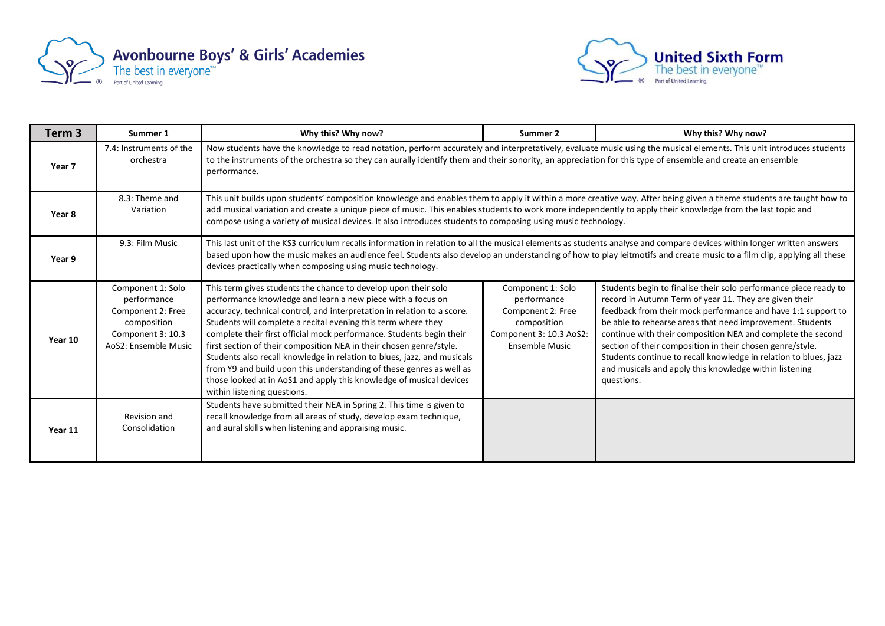



| Term 3  | Summer 1                                                                                                          | Why this? Why now?                                                                                                                                                                                                                                                                                                                                                                                                                                                                                                                                                                                                                                                                | Summer 2                                                                                                                 | Why this? Why now?                                                                                                                                                                                                                                                                                                                                                                                                                                                                                                              |
|---------|-------------------------------------------------------------------------------------------------------------------|-----------------------------------------------------------------------------------------------------------------------------------------------------------------------------------------------------------------------------------------------------------------------------------------------------------------------------------------------------------------------------------------------------------------------------------------------------------------------------------------------------------------------------------------------------------------------------------------------------------------------------------------------------------------------------------|--------------------------------------------------------------------------------------------------------------------------|---------------------------------------------------------------------------------------------------------------------------------------------------------------------------------------------------------------------------------------------------------------------------------------------------------------------------------------------------------------------------------------------------------------------------------------------------------------------------------------------------------------------------------|
| Year 7  | 7.4: Instruments of the<br>orchestra                                                                              | Now students have the knowledge to read notation, perform accurately and interpretatively, evaluate music using the musical elements. This unit introduces students<br>to the instruments of the orchestra so they can aurally identify them and their sonority, an appreciation for this type of ensemble and create an ensemble<br>performance.                                                                                                                                                                                                                                                                                                                                 |                                                                                                                          |                                                                                                                                                                                                                                                                                                                                                                                                                                                                                                                                 |
| Year 8  | 8.3: Theme and<br>Variation                                                                                       | This unit builds upon students' composition knowledge and enables them to apply it within a more creative way. After being given a theme students are taught how to<br>add musical variation and create a unique piece of music. This enables students to work more independently to apply their knowledge from the last topic and<br>compose using a variety of musical devices. It also introduces students to composing using music technology.                                                                                                                                                                                                                                |                                                                                                                          |                                                                                                                                                                                                                                                                                                                                                                                                                                                                                                                                 |
| Year 9  | 9.3: Film Music                                                                                                   | This last unit of the KS3 curriculum recalls information in relation to all the musical elements as students analyse and compare devices within longer written answers<br>based upon how the music makes an audience feel. Students also develop an understanding of how to play leitmotifs and create music to a film clip, applying all these<br>devices practically when composing using music technology.                                                                                                                                                                                                                                                                     |                                                                                                                          |                                                                                                                                                                                                                                                                                                                                                                                                                                                                                                                                 |
| Year 10 | Component 1: Solo<br>performance<br>Component 2: Free<br>composition<br>Component 3: 10.3<br>AoS2: Ensemble Music | This term gives students the chance to develop upon their solo<br>performance knowledge and learn a new piece with a focus on<br>accuracy, technical control, and interpretation in relation to a score.<br>Students will complete a recital evening this term where they<br>complete their first official mock performance. Students begin their<br>first section of their composition NEA in their chosen genre/style.<br>Students also recall knowledge in relation to blues, jazz, and musicals<br>from Y9 and build upon this understanding of these genres as well as<br>those looked at in AoS1 and apply this knowledge of musical devices<br>within listening questions. | Component 1: Solo<br>performance<br>Component 2: Free<br>composition<br>Component 3: 10.3 AoS2:<br><b>Ensemble Music</b> | Students begin to finalise their solo performance piece ready to<br>record in Autumn Term of year 11. They are given their<br>feedback from their mock performance and have 1:1 support to<br>be able to rehearse areas that need improvement. Students<br>continue with their composition NEA and complete the second<br>section of their composition in their chosen genre/style.<br>Students continue to recall knowledge in relation to blues, jazz<br>and musicals and apply this knowledge within listening<br>questions. |
| Year 11 | Revision and<br>Consolidation                                                                                     | Students have submitted their NEA in Spring 2. This time is given to<br>recall knowledge from all areas of study, develop exam technique,<br>and aural skills when listening and appraising music.                                                                                                                                                                                                                                                                                                                                                                                                                                                                                |                                                                                                                          |                                                                                                                                                                                                                                                                                                                                                                                                                                                                                                                                 |